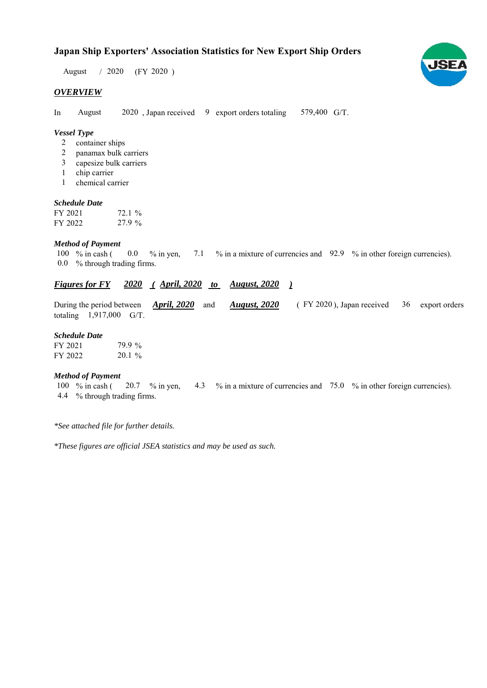# **Japan Ship Exporters' Association Statistics for New Export Ship Orders**

 $/ 2020$  (FY 2020) August

### *OVERVIEW*

In August 2020, Japan received 9 export orders totaling 579,400 G/T. August

## *Vessel Type*

- 2 container ships
- panamax bulk carriers 2
- capesize bulk carriers 3
- 1 chip carrier
- chemical carrier 1

#### *Schedule Date*

| FY 2021 | $72.1\%$ |
|---------|----------|
| FY 2022 | 27.9 %   |

## *Method of Payment*

% in cash ( $\ 0.0\$  % in yen,  $\ 7.1\$  % in a mixture of currencies and  $\ 92.9\$  % in other foreign currencies). % through trading firms. 0.0 100 % in cash (

## *Figures for FY* 2020 (April, 2020 to August, 2020)

|                           |  |  | During the period between <i>April, 2020</i> and <i>August, 2020</i> (FY 2020), Japan received 36 export orders |  |  |
|---------------------------|--|--|-----------------------------------------------------------------------------------------------------------------|--|--|
| totaling $1,917,000$ G/T. |  |  |                                                                                                                 |  |  |

### *Schedule Date*

| FY 2021 | 79.9 %   |
|---------|----------|
| FY 2022 | $20.1\%$ |

#### *Method of Payment*

% in cash ( $\frac{20.7}{8}$  in yen,  $\frac{4.3}{8}$  % in a mixture of currencies and  $\frac{75.0}{8}$  % in other foreign currencies). % through trading firms. 4.4 20.7 % in yen, 100  $%$  in cash (

*\*See attached file for further details.*

*\*These figures are official JSEA statistics and may be used as such.*

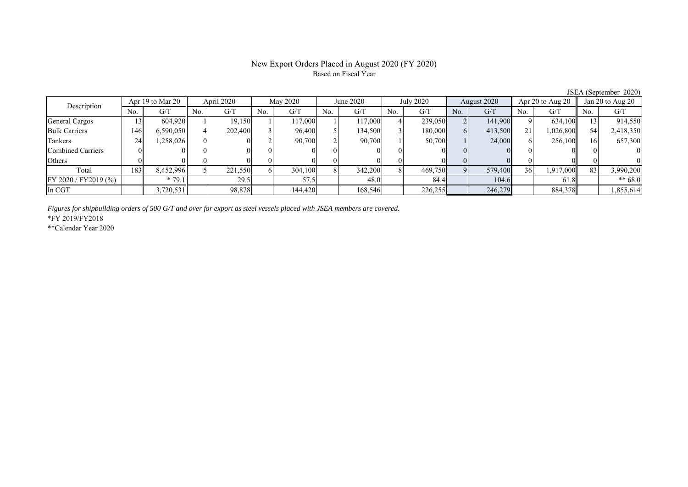# New Export Orders Placed in August 2020 (FY 2020) Based on Fiscal Year

| Description              | Apr 19 to Mar 20 |           | April 2020 |         | May 2020 |         | June 2020 |         | July 2020 |         | August 2020 |         | Apr $20$ to Aug $20$ |           | Jan 20 to Aug 20 |           |
|--------------------------|------------------|-----------|------------|---------|----------|---------|-----------|---------|-----------|---------|-------------|---------|----------------------|-----------|------------------|-----------|
|                          | No.              | G/T       | No.        | G/T     | No.      | G/T     | No.       | G/T     | No.       | G/T     | No.         | G/T     | No.                  | G/T       | No.              | G/T       |
| General Cargos           | 13               | 604,920   |            | 19.150  |          | 17.000  |           | 117,000 |           | 239,050 |             | 141,900 |                      | 634,100   |                  | 914,550   |
| <b>Bulk Carriers</b>     | 146              | 6,590,050 |            | 202,400 |          | 96,400  |           | 134.500 |           | 180,000 |             | 413,500 | 21                   | 1,026,800 | 54               | 2,418,350 |
| Tankers                  | 24               | 1,258,026 | 01         |         |          | 90,700  |           | 90.700  |           | 50,700  |             | 24,000  |                      | 256,100   | 16               | 657,300   |
| <b>Combined Carriers</b> |                  |           |            |         |          |         |           |         |           |         |             |         |                      |           |                  | $\theta$  |
| Others                   |                  |           |            |         |          |         |           |         |           | ОI      |             |         |                      |           |                  | $\theta$  |
| Total                    | 183              | 8,452,996 |            | 221,550 |          | 304,100 |           | 342,200 |           | 469,750 |             | 579,400 | 36                   | 1,917,000 | 83               | 3,990,200 |
| FY 2020 / FY2019 (%)     |                  | $*79.1$   |            | 29.5    |          | 57.5    |           | 48.0    |           | 84.4    |             | 104.6   |                      | 61.8      |                  | $** 68.0$ |
| In CGT                   |                  | 3,720,531 |            | 98,878  |          | 144,420 |           | 168,546 |           | 226,255 |             | 246,279 |                      | 884,378   |                  | 1,855,614 |
|                          |                  |           |            |         |          |         |           |         |           |         |             |         |                      |           |                  |           |

*Figures for shipbuilding orders of 500 G/T and over for export as steel vessels placed with JSEA members are covered.*

\*FY 2019/FY2018

\*\*Calendar Year 2020

JSEA (September 2020)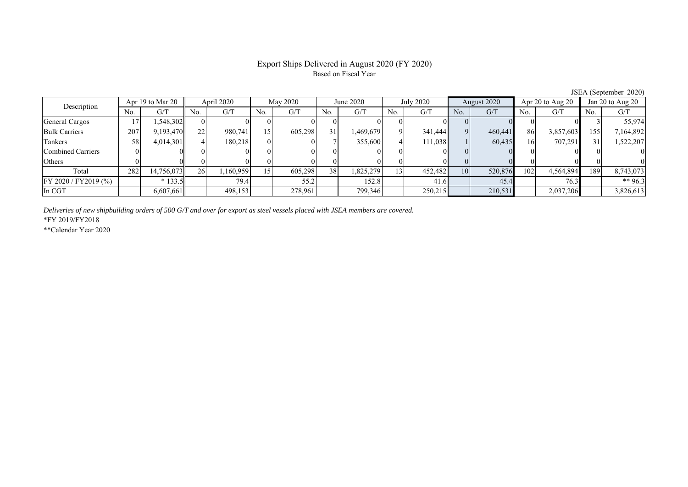# Export Ships Delivered in August 2020 (FY 2020) Based on Fiscal Year

|                          |                  |            |            |           |          |         |           |           |             |         |             |         |                      |           |                  | $5.5$ Let $\lambda$ be presence $20.20$ |
|--------------------------|------------------|------------|------------|-----------|----------|---------|-----------|-----------|-------------|---------|-------------|---------|----------------------|-----------|------------------|-----------------------------------------|
| Description              | Apr 19 to Mar 20 |            | April 2020 |           | May 2020 |         | June 2020 |           | July 2020   |         | August 2020 |         | Apr $20$ to Aug $20$ |           | Jan 20 to Aug 20 |                                         |
|                          | No.              | G/T        | No.        | G/T       | No.      | G/T     | No.       | G/T       | No.         | G/T     | No.         | G/T     | No.                  | G/T       | No.              | G/T                                     |
| General Cargos           |                  | 548,302.1  | $\Omega$   |           |          |         |           |           |             |         |             |         |                      |           |                  | 55,974                                  |
| <b>Bulk Carriers</b>     | 207              | 9,193,470  | 22         | 980,741   | 15       | 605,298 | 31        | 1,469,679 | $\mathbf Q$ | 341,444 |             | 460,441 | 86                   | 3,857,603 | 155              | 7,164,892                               |
| Tankers                  | 58               | 4,014,301  |            | 180.218   |          |         |           | 355,600   |             | 111.038 |             | 60,435  | 16                   | 707,291   | 31               | 1,522,207                               |
| <b>Combined Carriers</b> |                  |            |            |           |          |         |           |           |             |         |             |         |                      |           |                  |                                         |
| Others                   |                  |            |            |           |          |         |           |           |             |         |             |         |                      |           |                  |                                         |
| Total                    | 282              | 14,756,073 | <b>26</b>  | 1,160,959 |          | 605,298 | 38        | 1,825,279 | 13 I        | 452,482 | 10          | 520,876 | 102                  | 4,564,894 | 1891             | 8,743,073                               |
| FY 2020 / FY2019 (%)     |                  | $*133.5$   |            | 79.4      |          | 55.2    |           | 152.8     |             | 41.6    |             | 45.4    |                      | 76.3      |                  | ** $96.3$                               |
| In CGT                   |                  | 6,607,661  |            | 498,153   |          | 278,961 |           | 799,346   |             | 250,215 |             | 210,531 |                      | 2,037,206 |                  | 3,826,613                               |

*Deliveries of new shipbuilding orders of 500 G/T and over for export as steel vessels placed with JSEA members are covered.*

\*FY 2019/FY2018

\*\*Calendar Year 2020

JSEA (September 2020)